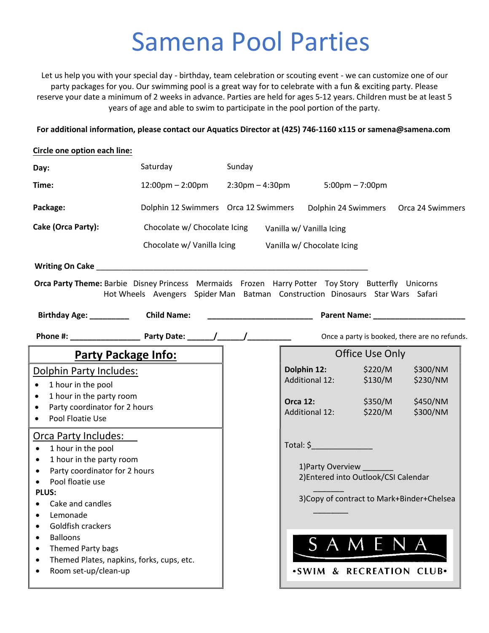## Samena Pool Parties

Let us help you with your special day - birthday, team celebration or scouting event - we can customize one of our party packages for you. Our swimming pool is a great way for to celebrate with a fun & exciting party. Please reserve your date a minimum of 2 weeks in advance. Parties are held for ages 5-12 years. Children must be at least 5 years of age and able to swim to participate in the pool portion of the party.

For additional information, please contact our **Aquatics Director** at (425) 746-1160 x**115** or samena@samena.com

| Circle one option each line:                                                                                                                                                                                                                                                                                                                                       |                                                                                                     |  |                                                                  |                                                                    |                                                |                                                                           |
|--------------------------------------------------------------------------------------------------------------------------------------------------------------------------------------------------------------------------------------------------------------------------------------------------------------------------------------------------------------------|-----------------------------------------------------------------------------------------------------|--|------------------------------------------------------------------|--------------------------------------------------------------------|------------------------------------------------|---------------------------------------------------------------------------|
| Day:                                                                                                                                                                                                                                                                                                                                                               | Saturday                                                                                            |  | Sunday                                                           |                                                                    |                                                |                                                                           |
| Time:                                                                                                                                                                                                                                                                                                                                                              | $12:00 \text{pm} - 2:00 \text{pm}$ 2:30pm - 4:30pm                                                  |  |                                                                  |                                                                    | $5:00 \text{pm} - 7:00 \text{pm}$              |                                                                           |
| Package:                                                                                                                                                                                                                                                                                                                                                           |                                                                                                     |  |                                                                  |                                                                    |                                                | Dolphin 12 Swimmers Orca 12 Swimmers Dolphin 24 Swimmers Orca 24 Swimmers |
| Cake (Orca Party):                                                                                                                                                                                                                                                                                                                                                 | Chocolate w/ Chocolate Icing Vanilla w/ Vanilla Icing                                               |  |                                                                  |                                                                    |                                                |                                                                           |
|                                                                                                                                                                                                                                                                                                                                                                    | Chocolate w/ Vanilla Icing Vanilla w/ Chocolate Icing                                               |  |                                                                  |                                                                    |                                                |                                                                           |
|                                                                                                                                                                                                                                                                                                                                                                    |                                                                                                     |  |                                                                  |                                                                    |                                                |                                                                           |
| Orca Party Theme: Barbie Disney Princess Mermaids Frozen Harry Potter Toy Story Butterfly Unicorns<br>Birthday Age: __________                                                                                                                                                                                                                                     | Hot Wheels Avengers Spider Man Batman Construction Dinosaurs Star Wars Safari<br><b>Child Name:</b> |  | <u> 1980 - Jan James James Barnett, fransk politik (d. 1980)</u> |                                                                    |                                                |                                                                           |
|                                                                                                                                                                                                                                                                                                                                                                    |                                                                                                     |  |                                                                  |                                                                    |                                                | Once a party is booked, there are no refunds.                             |
| Party Package Info:                                                                                                                                                                                                                                                                                                                                                |                                                                                                     |  |                                                                  | Office Use Only                                                    |                                                |                                                                           |
| Dolphin Party Includes:<br>1 hour in the pool<br>$\bullet$<br>1 hour in the party room<br>$\bullet$<br>Party coordinator for 2 hours<br>$\bullet$<br>Pool Floatie Use<br>$\bullet$                                                                                                                                                                                 |                                                                                                     |  |                                                                  | Dolphin 12:<br>Additional 12:<br><b>Orca 12:</b><br>Additional 12: | \$220/M<br>\$130/M<br>\$350/M<br>\$220/M       | \$300/NM<br>\$230/NM<br>\$450/NM<br>\$300/NM                              |
| <u><b>Orca Party Includes:</b></u><br>1 hour in the pool<br>$\bullet$<br>1 hour in the party room<br>$\bullet$<br>Party coordinator for 2 hours<br>$\bullet$<br>Pool floatie use<br><b>PLUS:</b><br>Cake and candles<br>Lemonade<br>Goldfish crackers<br><b>Balloons</b><br>Themed Party bags<br>Themed Plates, napkins, forks, cups, etc.<br>Room set-up/clean-up |                                                                                                     |  |                                                                  | Total: $\zeta$<br>1) Party Overview                                | 2) Entered into Outlook/CSI Calendar<br>SAMENA | 3) Copy of contract to Mark+Binder+Chelsea<br>.SWIM & RECREATION CLUB.    |